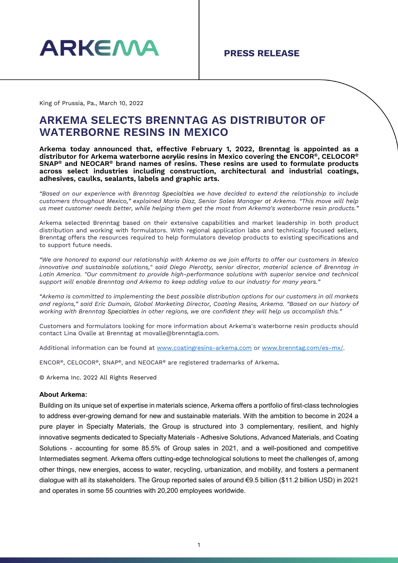

King of Prussia, Pa., March 10, 2022

## **ARKEMA SELECTS BRENNTAG AS DISTRIBUTOR OF WATERBORNE RESINS IN MEXICO**

**Arkema today announced that, effective February 1, 2022, Brenntag is appointed as a distributor for Arkema waterborne acrylic resins in Mexico covering the ENCOR®, CELOCOR® SNAP® and NEOCAR® brand names of resins. These resins are used to formulate products across select industries including construction, architectural and industrial coatings, adhesives, caulks, sealants, labels and graphic arts.**

*"Based on our experience with Brenntag Specialties we have decided to extend the relationship to include customers throughout Mexico," explained Maria Diaz, Senior Sales Manager at Arkema. "This move will help us meet customer needs better, while helping them get the most from Arkema's waterborne resin products."*

Arkema selected Brenntag based on their extensive capabilities and market leadership in both product distribution and working with formulators. With regional application labs and technically focused sellers, Brenntag offers the resources required to help formulators develop products to existing specifications and to support future needs.

*"We are honored to expand our relationship with Arkema as we join efforts to offer our customers in Mexico innovative and sustainable solutions," said Diego Pierotty, senior director, material science of Brenntag in*  Latin America. "Our commitment to provide high-performance solutions with superior service and technical *support will enable Brenntag and Arkema to keep adding value to our industry for many years."*

*"Arkema is committed to implementing the best possible distribution options for our customers in all markets and regions," said Eric Dumain, Global Marketing Director, Coating Resins, Arkema. "Based on our history of working with Brenntag Specialties in other regions, we are confident they will help us accomplish this."*

Customers and formulators looking for more information about Arkema's waterborne resin products should contact Lina Ovalle at Brenntag at movalle@brenntagla.com.

Additional information can be found at [www.coatingresins-arkema.com](http://www.coatingresins-arkema.com/) or [www.brenntag.com/es-mx/.](http://www.brenntag.com/es-mx/)

ENCOR®, CELOCOR®, SNAP®, and NEOCAR® are registered trademarks of Arkema.

© Arkema Inc. 2022 All Rights Reserved

### **About Arkema:**

Building on its unique set of expertise in materials science, Arkema offers a portfolio of first-class technologies to address ever-growing demand for new and sustainable materials. With the ambition to become in 2024 a pure player in Specialty Materials, the Group is structured into 3 complementary, resilient, and highly innovative segments dedicated to Specialty Materials - Adhesive Solutions, Advanced Materials, and Coating Solutions - accounting for some 85.5% of Group sales in 2021, and a well-positioned and competitive Intermediates segment. Arkema offers cutting-edge technological solutions to meet the challenges of, among other things, new energies, access to water, recycling, urbanization, and mobility, and fosters a permanent dialogue with all its stakeholders. The Group reported sales of around €9.5 billion (\$11.2 billion USD) in 2021 and operates in some 55 countries with 20,200 employees worldwide.